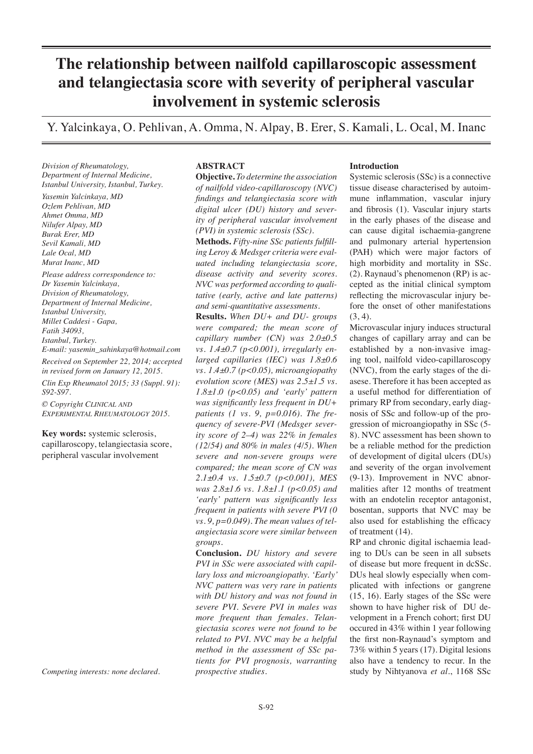# **The relationship between nailfold capillaroscopic assessment and telangiectasia score with severity of peripheral vascular involvement in systemic sclerosis**

Y. Yalcinkaya, O. Pehlivan, A. Omma, N. Alpay, B. Erer, S. Kamali, L. Ocal, M. Inanc

*Division of Rheumatology, Department of Internal Medicine, Istanbul University, Istanbul, Turkey.*

*Yasemin Yalcinkaya, MD Ozlem Pehlivan, MD Ahmet Omma, MD Nilufer Alpay, MD Burak Erer, MD Sevil Kamali, MD Lale Ocal, MD Murat Inanc, MD*

*Please address correspondence to: Dr Yasemin Yalcinkaya, Division of Rheumatology, Department of Internal Medicine, Istanbul University, Millet Caddesi - Gapa, Fatih 34093, Istanbul, Turkey.*

*E-mail: yasemin\_sahinkaya@hotmail.com Received on September 22, 2014; accepted* 

*in revised form on January 12, 2015. Clin Exp Rheumatol 2015; 33 (Suppl. 91):* 

*S92-S97.*

*© Copyright Clinical and Experimental Rheumatology 2015.*

**Key words:** systemic sclerosis, capillaroscopy, telangiectasia score, peripheral vascular involvement

*Competing interests: none declared.*

# **ABSTRACT**

**Objective.** *To determine the association of nailfold video-capillaroscopy (NVC) findings and telangiectasia score with digital ulcer (DU) history and severity of peripheral vascular involvement (PVI) in systemic sclerosis (SSc).* 

**Methods.** *Fifty-nine SSc patients fulfilling Leroy & Medsger criteria were evaluated including telangiectasia score, disease activity and severity scores. NVC was performed according to qualitative (early, active and late patterns) and semi-quantitative assessments.*

**Results.** *When DU+ and DU- groups were compared; the mean score of capillary number (CN) was 2.0±0.5 vs. 1.4±0.7 (p<0.001), irregularly enlarged capillaries (IEC) was 1.8±0.6 vs. 1.4±0.7 (p<0.05), microangiopathy evolution score (MES) was 2.5±1.5 vs. 1.8±1.0 (p<0.05) and 'early' pattern was significantly less frequent in DU+ patients (1 vs. 9, p=0.016). The frequency of severe-PVI (Medsger severity score of 2–4) was 22% in females (12/54) and 80% in males (4/5). When severe and non-severe groups were compared; the mean score of CN was 2.1±0.4 vs. 1.5±0.7 (p<0.001), MES was 2.8±1.6 vs. 1.8±1.1 (p<0.05) and 'early' pattern was significantly less frequent in patients with severe PVI (0 vs. 9, p=0.049). The mean values of telangiectasia score were similar between groups.*

**Conclusion.** *DU history and severe PVI in SSc were associated with capillary loss and microangiopathy. 'Early' NVC pattern was very rare in patients with DU history and was not found in severe PVI. Severe PVI in males was more frequent than females. Telangiectasia scores were not found to be related to PVI. NVC may be a helpful method in the assessment of SSc patients for PVI prognosis, warranting prospective studies.*

# **Introduction**

Systemic sclerosis (SSc) is a connective tissue disease characterised by autoimmune inflammation, vascular injury and fibrosis (1). Vascular injury starts in the early phases of the disease and can cause digital ischaemia-gangrene and pulmonary arterial hypertension (PAH) which were major factors of high morbidity and mortality in SSc. (2). Raynaud's phenomenon (RP) is accepted as the initial clinical symptom reflecting the microvascular injury before the onset of other manifestations  $(3, 4)$ .

Microvascular injury induces structural changes of capillary array and can be established by a non-invasive imaging tool, nailfold video-capillaroscopy (NVC), from the early stages of the diasese. Therefore it has been accepted as a useful method for differentiation of primary RP from secondary, early diagnosis of SSc and follow-up of the progression of microangiopathy in SSc (5- 8). NVC assessment has been shown to be a reliable method for the prediction of development of digital ulcers (DUs) and severity of the organ involvement (9-13). Improvement in NVC abnormalities after 12 months of treatment with an endotelin receptor antagonist, bosentan, supports that NVC may be also used for establishing the efficacy of treatment (14).

RP and chronic digital ischaemia leading to DUs can be seen in all subsets of disease but more frequent in dcSSc. DUs heal slowly especially when complicated with infections or gangrene (15, 16). Early stages of the SSc were shown to have higher risk of DU development in a French cohort; first DU occured in 43% within 1 year following the first non-Raynaud's symptom and 73% within 5 years (17). Digital lesions also have a tendency to recur. In the study by Nihtyanova *et al.*, 1168 SSc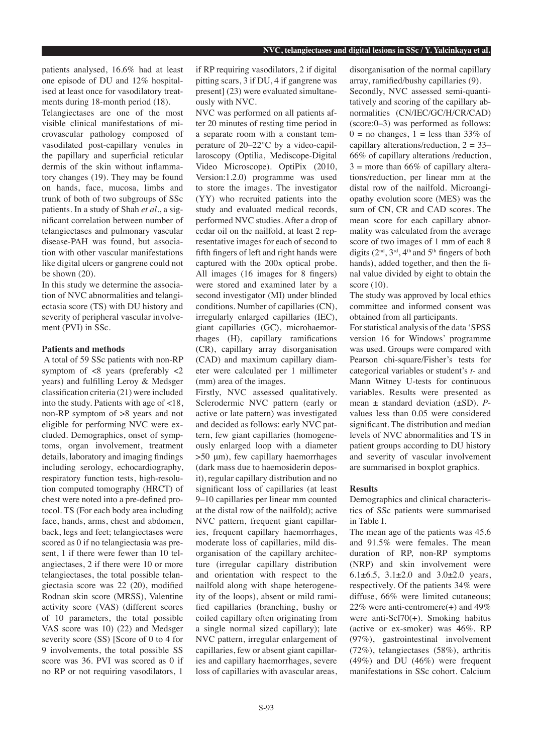patients analysed, 16.6% had at least one episode of DU and 12% hospitalised at least once for vasodilatory treatments during 18-month period (18).

Telangiectases are one of the most visible clinical manifestations of microvascular pathology composed of vasodilated post-capillary venules in the papillary and superficial reticular dermis of the skin without inflammatory changes (19). They may be found on hands, face, mucosa, limbs and trunk of both of two subgroups of SSc patients. In a study of Shah *et al.*, a significant correlation between number of telangiectases and pulmonary vascular disease-PAH was found, but association with other vascular manifestations like digital ulcers or gangrene could not be shown (20).

In this study we determine the association of NVC abnormalities and telangiectasia score (TS) with DU history and severity of peripheral vascular involvement (PVI) in SSc.

# **Patients and methods**

 A total of 59 SSc patients with non-RP symptom of <8 years (preferably <2 years) and fulfilling Leroy & Medsger classification criteria (21) were included into the study. Patients with age of <18, non-RP symptom of >8 years and not eligible for performing NVC were excluded. Demographics, onset of symptoms, organ involvement, treatment details, laboratory and imaging findings including serology, echocardiography, respiratory function tests, high-resolution computed tomography (HRCT) of chest were noted into a pre-defined protocol. TS (For each body area including face, hands, arms, chest and abdomen, back, legs and feet; telangiectases were scored as 0 if no telangiectasia was present, 1 if there were fewer than 10 telangiectases, 2 if there were 10 or more telangiectases, the total possible telangiectasia score was 22 (20), modified Rodnan skin score (MRSS), Valentine activity score (VAS) (different scores of 10 parameters, the total possible VAS score was 10) (22) and Medsger severity score (SS) [Score of 0 to 4 for 9 involvements, the total possible SS score was 36. PVI was scored as 0 if no RP or not requiring vasodilators, 1

if RP requiring vasodilators, 2 if digital pitting scars, 3 if DU, 4 if gangrene was present] (23) were evaluated simultaneously with NVC.

NVC was performed on all patients after 20 minutes of resting time period in a separate room with a constant temperature of 20–22°C by a video-capillaroscopy (Optilia, Mediscope-Digital Video Microscope). OptiPix (2010, Version:1.2.0) programme was used to store the images. The investigator (YY) who recruited patients into the study and evaluated medical records, performed NVC studies. After a drop of cedar oil on the nailfold, at least 2 representative images for each of second to fifth fingers of left and right hands were captured with the 200x optical probe. All images (16 images for 8 fingers) were stored and examined later by a second investigator (MI) under blinded conditions. Number of capillaries (CN), irregularly enlarged capillaries (IEC), giant capillaries (GC), microhaemorrhages (H), capillary ramifications (CR), capillary array disorganisation (CAD) and maximum capillary diameter were calculated per 1 millimeter (mm) area of the images.

Firstly, NVC assessed qualitatively. Sclerodermic NVC pattern (early or active or late pattern) was investigated and decided as follows: early NVC pattern, few giant capillaries (homogeneously enlarged loop with a diameter >50 μm), few capillary haemorrhages (dark mass due to haemosiderin deposit), regular capillary distribution and no significant loss of capillaries (at least 9–10 capillaries per linear mm counted at the distal row of the nailfold); active NVC pattern, frequent giant capillaries, frequent capillary haemorrhages, moderate loss of capillaries, mild disorganisation of the capillary architecture (irregular capillary distribution and orientation with respect to the nailfold along with shape heterogeneity of the loops), absent or mild ramified capillaries (branching, bushy or coiled capillary often originating from a single normal sized capillary); late NVC pattern, irregular enlargement of capillaries, few or absent giant capillaries and capillary haemorrhages, severe loss of capillaries with avascular areas, disorganisation of the normal capillary array, ramified/bushy capillaries (9). Secondly, NVC assessed semi-quantitatively and scoring of the capillary abnormalities (CN/IEC/GC/H/CR/CAD) (score:0–3) was performed as follows:  $0 =$  no changes,  $1 =$  less than 33% of capillary alterations/reduction,  $2 = 33-$ 66% of capillary alterations /reduction,  $3 =$  more than 66% of capillary alterations/reduction, per linear mm at the distal row of the nailfold. Microangiopathy evolution score (MES) was the sum of CN, CR and CAD scores. The mean score for each capillary abnormality was calculated from the average score of two images of 1 mm of each 8 digits  $(2<sup>nd</sup>, 3<sup>rd</sup>, 4<sup>th</sup>$  and  $5<sup>th</sup>$  fingers of both hands), added together, and then the final value divided by eight to obtain the score (10).

The study was approved by local ethics committee and informed consent was obtained from all participants.

For statistical analysis of the data 'SPSS version 16 for Windows' programme was used. Groups were compared with Pearson chi-square/Fisher's tests for categorical variables or student's *t-* and Mann Witney U-tests for continuous variables. Results were presented as mean ± standard deviation (±SD). *P*values less than 0.05 were considered significant. The distribution and median levels of NVC abnormalities and TS in patient groups according to DU history and severity of vascular involvement are summarised in boxplot graphics.

## **Results**

Demographics and clinical characteristics of SSc patients were summarised in Table I.

The mean age of the patients was 45.6 and 91.5% were females. The mean duration of RP, non-RP symptoms (NRP) and skin involvement were 6.1 $\pm$ 6.5, 3.1 $\pm$ 2.0 and 3.0 $\pm$ 2.0 years, respectively. Of the patients 34% were diffuse, 66% were limited cutaneous; 22% were anti-centromere(+) and  $49\%$ were anti-Scl70(+). Smoking habitus (active or ex-smoker) was 46%. RP (97%), gastrointestinal involvement (72%), telangiectases (58%), arthritis (49%) and DU (46%) were frequent manifestations in SSc cohort. Calcium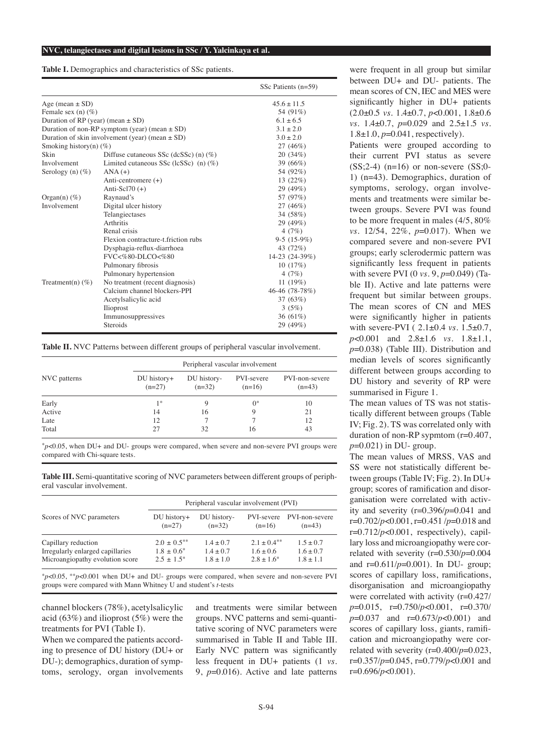#### **NVC, telangiectases and digital lesions in SSc / Y. Yalcinkaya et al.**

**Table I.** Demographics and characteristics of SSc patients.

|                                                     |                                          | SSc Patients $(n=59)$ |
|-----------------------------------------------------|------------------------------------------|-----------------------|
| Age (mean $\pm$ SD)                                 |                                          | $45.6 + 11.5$         |
| Female sex (n) $(\%)$                               |                                          | 54 (91%)              |
| Duration of RP (year) (mean $\pm$ SD)               |                                          | $6.1 + 6.5$           |
| Duration of non-RP symptom (year) (mean $\pm$ SD)   |                                          | $3.1 + 2.0$           |
| Duration of skin involvement (year) (mean $\pm$ SD) |                                          | $3.0 \pm 2.0$         |
| Smoking history(n) $(\%)$                           |                                          | 27 (46%)              |
| Skin                                                | Diffuse cutaneous SSc (dcSSc) (n) $(\%)$ | 20(34%)               |
| Involvement                                         | Limited cutaneous SSc (lcSSc) $(n)$ (%)  | 39 $(66\%)$           |
| Serology (n) $(\%)$                                 | $ANA (+)$                                | 54 (92%)              |
|                                                     | Anti-centromere $(+)$                    | 13(22%)               |
|                                                     | Anti-Scl $70 (+)$                        | 29 (49%)              |
| Organ(n) $(\%)$                                     | Raynaud's                                | 57 (97%)              |
| Involvement                                         | Digital ulcer history                    | 27 (46%)              |
|                                                     | Telangiectases                           | 34 (58%)              |
|                                                     | Arthritis                                | 29 (49%)              |
|                                                     | Renal crisis                             | 4(7%)                 |
|                                                     | Flexion contracture-t friction rubs      | $9-5(15-9%)$          |
|                                                     | Dysphagia-reflux-diarrhoea               | 43 (72%)              |
|                                                     | FVC<%80-DLCO<%80                         | 14-23 (24-39%)        |
|                                                     | Pulmonary fibrosis                       | 10(17%)               |
|                                                     | Pulmonary hypertension                   | 4(7%)                 |
| Treatment(n) $(\%)$                                 | No treatment (recent diagnosis)          | 11 $(19%)$            |
|                                                     | Calcium channel blockers-PPI             | 46-46 (78-78%)        |
|                                                     | Acetylsalicylic acid                     | 37(63%)               |
|                                                     | Ilioprost                                | 3(5%)                 |
|                                                     | Immunosuppressives                       | 36 $(61\%)$           |
|                                                     | Steroids                                 | 29 (49%)              |

**Table II.** NVC Patterns between different groups of peripheral vascular involvement.

|              | Peripheral vascular involvement |                         |                        |                            |  |
|--------------|---------------------------------|-------------------------|------------------------|----------------------------|--|
| NVC patterns | DU history+<br>$(n=27)$         | DU history-<br>$(n=32)$ | PVI-severe<br>$(n=16)$ | PVI-non-severe<br>$(n=43)$ |  |
| Early        | $1*$                            | 9                       | $0^*$                  | 10                         |  |
| Active       | 14                              | 16                      | 9                      | 21                         |  |
| Late         | 12                              |                         |                        | 12                         |  |
| Total        | 27                              | 32                      | 16                     | 43                         |  |
|              |                                 |                         |                        |                            |  |

\**p*<0.05, when DU+ and DU- groups were compared, when severe and non-severe PVI groups were compared with Chi-square tests.

**Table III.** Semi-quantitative scoring of NVC parameters between different groups of peripheral vascular involvement.

|                           |                                                    | Peripheral vascular involvement (PVI) |                                       |  |  |  |  |
|---------------------------|----------------------------------------------------|---------------------------------------|---------------------------------------|--|--|--|--|
| $DU$ history+<br>$(n=27)$ | DU history-<br>$(n=32)$                            | $(n=16)$                              | PVI-severe PVI-non-severe<br>$(n=43)$ |  |  |  |  |
|                           | $1.4 + 0.7$                                        | $2.1 + 0.4^{**}$                      | $1.5 + 0.7$                           |  |  |  |  |
|                           | $1.4 + 0.7$                                        | $1.6 + 0.6$                           | $1.6 + 0.7$                           |  |  |  |  |
|                           | $1.8 + 1.0$                                        | $2.8 + 1.6^*$                         | $1.8 + 1.1$                           |  |  |  |  |
|                           | $2.0 + 0.5^{**}$<br>$1.8 + 0.6^*$<br>$2.5 + 1.5^*$ |                                       |                                       |  |  |  |  |

\**p*<0.05, \*\**p*<0.001 when DU+ and DU- groups were compared, when severe and non-severe PVI groups were compared with Mann Whitney U and student's *t*-tests

channel blockers (78%), acetylsalicylic acid (63%) and ilioprost (5%) were the treatments for PVI (Table I).

When we compared the patients according to presence of DU history (DU+ or DU-); demographics, duration of symptoms, serology, organ involvements

and treatments were similar between groups. NVC patterns and semi-quantitative scoring of NVC parameters were summarised in Table II and Table III. Early NVC pattern was significantly less frequent in DU+ patients (1 *vs.* 9, *p*=0.016). Active and late patterns were frequent in all group but similar between DU+ and DU- patients. The mean scores of CN, IEC and MES were significantly higher in DU+ patients (2.0±0.5 *vs.* 1.4±0.7, *p*<0.001, 1.8±0.6 *vs.* 1.4±0.7, *p*=0.029 and 2.5±1.5 *vs.* 1.8±1.0, *p*=0.041, respectively).

Patients were grouped according to their current PVI status as severe  $(SS:2-4)$   $(n=16)$  or non-severe  $(SS:0-$ 1) (n=43). Demographics, duration of symptoms, serology, organ involvements and treatments were similar between groups. Severe PVI was found to be more frequent in males (4/5, 80% *vs.* 12/54, 22%, *p*=0.017). When we compared severe and non-severe PVI groups; early sclerodermic pattern was significantly less frequent in patients with severe PVI (0 *vs.* 9, *p*=0.049) (Table II). Active and late patterns were frequent but similar between groups. The mean scores of CN and MES were significantly higher in patients with severe-PVI ( 2.1±0.4 *vs.* 1.5±0.7, *p*<0.001 and 2.8±1.6 *vs.* 1.8±1.1, *p*=0.038) (Table III). Distribution and median levels of scores significantly different between groups according to DU history and severity of RP were summarised in Figure 1.

The mean values of TS was not statistically different between groups (Table IV; Fig. 2). TS was correlated only with duration of non-RP sypmtom (r=0.407, *p*=0.021) in DU- group.

The mean values of MRSS, VAS and SS were not statistically different between groups (Table IV; Fig. 2). In DU+ group; scores of ramification and disorganisation were correlated with activity and severity (r=0.396/*p*=0.041 and r=0.702/*p*<0.001, r=0.451 /*p*=0.018 and  $r=0.712/p<0.001$ , respectively), capillary loss and microangiopathy were correlated with severity (r=0.530/*p*=0.004 and r=0.611/*p*=0.001). In DU- group; scores of capillary loss, ramifications, disorganisation and microangiopathy were correlated with activity (r=0.427/ *p*=0.015, r=0.750/*p*<0.001, r=0.370/ *p*=0.037 and r=0.673/*p*<0.001) and scores of capillary loss, giants, ramification and microangiopathy were correlated with severity (r=0.400/*p*=0.023, r=0.357/*p*=0.045, r=0.779/*p*<0.001 and r=0.696/*p*<0.001).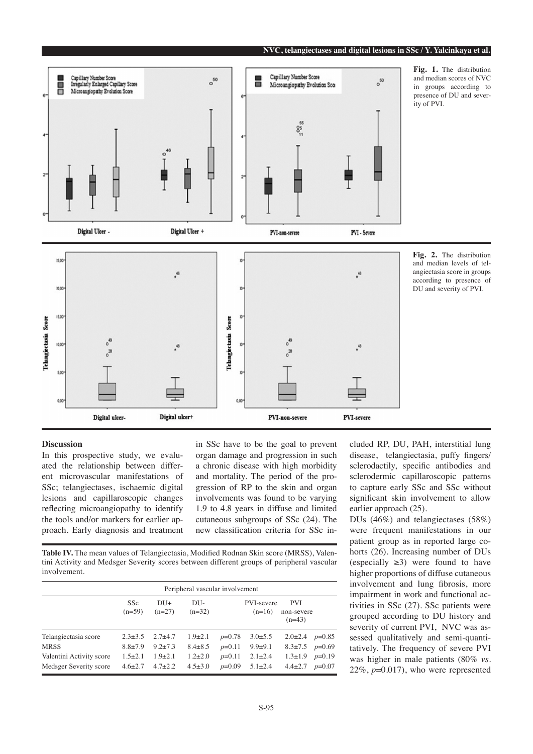## **NVC, telangiectases and digital lesions in SSc / Y. Yalcinkaya et al.**



**Fig. 1.** The distribution and median scores of NVC in groups according to presence of DU and severity of PVI.

**Fig. 2.** The distribution and median levels of telangiectasia score in groups according to presence of DU and severity of PVI.



# **Discussion**

In this prospective study, we evaluated the relationship between different microvascular manifestations of SSc; telangiectases, ischaemic digital lesions and capillaroscopic changes reflecting microangiopathy to identify the tools and/or markers for earlier approach. Early diagnosis and treatment

in SSc have to be the goal to prevent organ damage and progression in such a chronic disease with high morbidity and mortality. The period of the progression of RP to the skin and organ involvements was found to be varying 1.9 to 4.8 years in diffuse and limited cutaneous subgroups of SSc (24). The new classification criteria for SSc in-

Table IV. The mean values of Telangiectasia, Modified Rodnan Skin score (MRSS), Valentini Activity and Medsger Severity scores between different groups of peripheral vascular involvement.

|                                                    | Peripheral vascular involvement |                                |                                |          |                                         |                                                  |  |
|----------------------------------------------------|---------------------------------|--------------------------------|--------------------------------|----------|-----------------------------------------|--------------------------------------------------|--|
|                                                    | SS <sub>c</sub><br>$(n=59)$     | $DU+$<br>$(n=27)$              | DU-<br>$(n=32)$                |          | PVI-severe<br>$(n=16)$                  | PVI.<br>non-severe<br>$(n=43)$                   |  |
| Telangiectasia score                               | $2.3 \pm 3.5$                   | $2.7 + 4.7$                    | $1.9 \pm 2.1$                  | $p=0.78$ | $3.0 \pm 5.5$                           | 2.0 $\pm$ 2.4 p=0.85                             |  |
| <b>MRSS</b>                                        | $8.8 + 7.9$                     | $9.2 \pm 7.3$                  | $8.4 \pm 8.5$                  | $p=0.11$ | $9.9 \pm 9.1$                           | 8.3 $\pm$ 7.5 $p=0.69$                           |  |
| Valentini Activity score<br>Medsger Severity score | $1.5 + 2.1$<br>$4.6 \pm 2.7$    | $1.9 \pm 2.1$<br>$4.7 \pm 2.2$ | $1.2 \pm 2.0$<br>$4.5 \pm 3.0$ | $p=0.11$ | $2.1 \pm 2.4$<br>$p=0.09$ 5.1 $\pm$ 2.4 | $1.3 \pm 1.9$ $p=0.19$<br>$4.4 \pm 2.7$ $p=0.07$ |  |

cluded RP, DU, PAH, interstitial lung disease, telangiectasia, puffy fingers/ sclerodactily, specific antibodies and sclerodermic capillaroscopic patterns to capture early SSc and SSc without significant skin involvement to allow earlier approach (25).

DUs (46%) and telangiectases (58%) were frequent manifestations in our patient group as in reported large cohorts (26). Increasing number of DUs (especially  $\geq 3$ ) were found to have higher proportions of diffuse cutaneous involvement and lung fibrosis, more impairment in work and functional activities in SSc (27). SSc patients were grouped according to DU history and severity of current PVI, NVC was assessed qualitatively and semi-quantitatively. The frequency of severe PVI was higher in male patients (80% *vs.*  22%, *p*=0.017), who were represented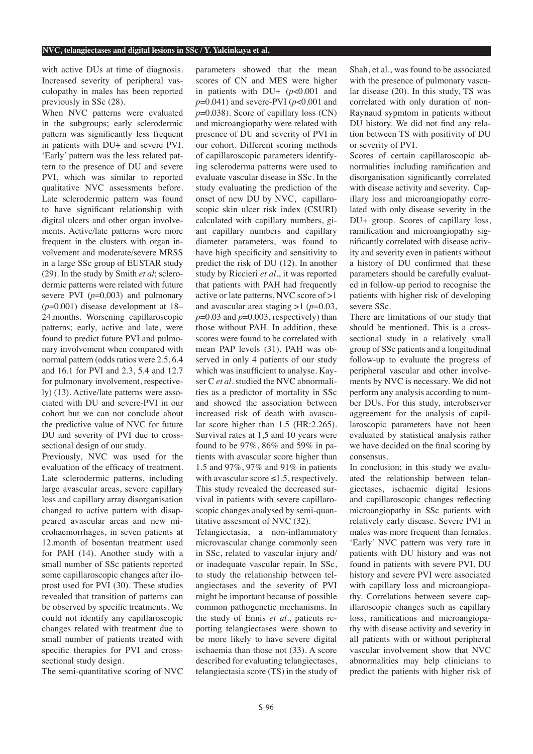with active DUs at time of diagnosis. Increased severity of peripheral vasculopathy in males has been reported previously in SSc (28).

When NVC patterns were evaluated in the subgroups; early sclerodermic pattern was significantly less frequent in patients with DU+ and severe PVI. 'Early' pattern was the less related pattern to the presence of DU and severe PVI, which was similar to reported qualitative NVC assessments before. Late sclerodermic pattern was found to have significant relationship with digital ulcers and other organ involvements. Active/late patterns were more frequent in the clusters with organ involvement and moderate/severe MRSS in a large SSc group of EUSTAR study (29). In the study by Smith *et al*; sclerodermic patterns were related with future severe PVI  $(p=0.003)$  and pulmonary (*p*=0.001) disease development at 18– 24.months. Worsening capillaroscopic patterns; early, active and late, were found to predict future PVI and pulmonary involvement when compared with normal pattern (odds ratios were 2.5, 6.4 and 16.1 for PVI and 2.3, 5.4 and 12.7 for pulmonary involvement, respectively) (13). Active/late patterns were associated with DU and severe-PVI in our cohort but we can not conclude about the predictive value of NVC for future DU and severity of PVI due to crosssectional design of our study.

Previously, NVC was used for the evaluation of the efficacy of treatment. Late sclerodermic patterns, including large avascular areas, severe capillary loss and capillary array disorganisation changed to active pattern with disappeared avascular areas and new microhaemorrhages, in seven patients at 12.month of bosentan treatment used for PAH (14). Another study with a small number of SSc patients reported some capillaroscopic changes after iloprost used for PVI (30). These studies revealed that transition of patterns can be observed by specific treatments. We could not identify any capillaroscopic changes related with treatment due to small number of patients treated with specific therapies for PVI and crosssectional study design.

The semi-quantitative scoring of NVC

parameters showed that the mean scores of CN and MES were higher in patients with DU+ (*p*<0.001 and *p*=0.041) and severe-PVI (*p*<0.001 and *p*=0.038). Score of capillary loss (CN) and microangiopathy were related with presence of DU and severity of PVI in our cohort. Different scoring methods of capillaroscopic parameters identifying scleroderma patterns were used to evaluate vascular disease in SSc. In the study evaluating the prediction of the onset of new DU by NVC, capillaroscopic skin ulcer risk index (CSURI) calculated with capillary numbers, giant capillary numbers and capillary diameter parameters, was found to have high specificity and sensitivity to predict the risk of DU (12). In another study by Riccieri *et al.*, it was reported that patients with PAH had frequently active or late patterns, NVC score of >1 and avascular area staging >1 (*p*=0.03,  $p=0.03$  and  $p=0.003$ , respectively) than those without PAH. In addition, these scores were found to be correlated with mean PAP levels (31). PAH was observed in only 4 patients of our study which was insufficient to analyse. Kayser C *et al.* studied the NVC abnormalities as a predictor of mortality in SSc and showed the association between increased risk of death with avascular score higher than 1.5 (HR:2.265). Survival rates at 1,5 and 10 years were found to be 97%, 86% and 59% in patients with avascular score higher than 1.5 and 97%, 97% and 91% in patients with avascular score  $\leq 1.5$ , respectively. This study revealed the decreased survival in patients with severe capillaroscopic changes analysed by semi-quantitative assesment of NVC (32).

Telangiectasia, a non-inflammatory microvascular change commonly seen in SSc, related to vascular injury and/ or inadequate vascular repair. In SSc, to study the relationship between telangiectases and the severity of PVI might be important because of possible common pathogenetic mechanisms. In the study of Ennis *et al.*, patients reporting telangiectases were shown to be more likely to have severe digital ischaemia than those not (33). A score described for evaluating telangiectases, telangiectasia score (TS) in the study of

Shah, et al., was found to be associated with the presence of pulmonary vascular disease (20). In this study, TS was correlated with only duration of non-Raynaud sypmtom in patients without DU history. We did not find any relation between TS with positivity of DU or severity of PVI.

Scores of certain capillaroscopic abnormalities including ramification and disorganisation significantly correlated with disease activity and severity. Capillary loss and microangiopathy correlated with only disease severity in the DU+ group. Scores of capillary loss, ramification and microangiopathy significantly correlated with disease activity and severity even in patients without a history of DU confirmed that these parameters should be carefully evaluated in follow-up period to recognise the patients with higher risk of developing severe SSc.

There are limitations of our study that should be mentioned. This is a crosssectional study in a relatively small group of SSc patients and a longitudinal follow-up to evaluate the progress of peripheral vascular and other involvements by NVC is necessary. We did not perform any analysis according to number DUs. For this study, interobserver aggreement for the analysis of capillaroscopic parameters have not been evaluated by statistical analysis rather we have decided on the final scoring by consensus.

In conclusion; in this study we evaluated the relationship between telangiectases, ischaemic digital lesions and capillaroscopic changes reflecting microangiopathy in SSc patients with relatively early disease. Severe PVI in males was more frequent than females. 'Early' NVC pattern was very rare in patients with DU history and was not found in patients with severe PVI. DU history and severe PVI were associated with capillary loss and microangiopathy. Correlations between severe capillaroscopic changes such as capillary loss, ramifications and microangiopathy with disease activity and severity in all patients with or without peripheral vascular involvement show that NVC abnormalities may help clinicians to predict the patients with higher risk of